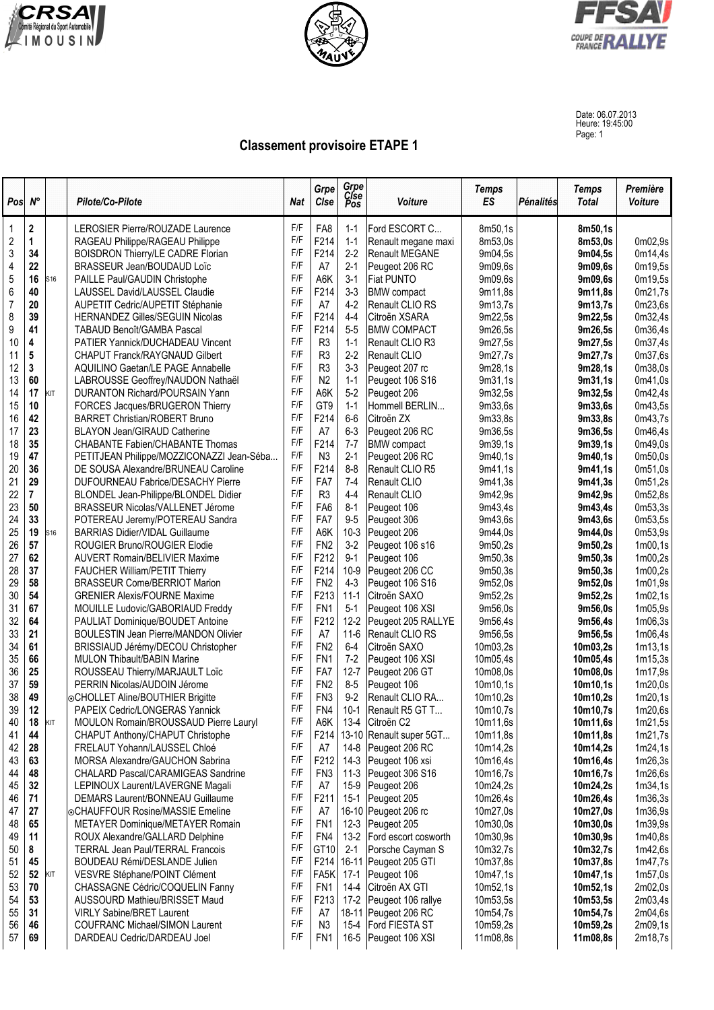





Date: 06.07.2013 Heure: 19:45:00 Page: 1

## **Classement provisoire ETAPE 1**

| Pos            | $N^{\circ}$ |     | Pilote/Co-Pilote                            | Nat | Grpe<br>Clse    | Grpe<br>Cise<br>Pos | <b>Voiture</b>        | <b>Temps</b><br><b>ES</b> | Pénalités | <b>Temps</b><br><b>Total</b> | Première<br>Voiture |
|----------------|-------------|-----|---------------------------------------------|-----|-----------------|---------------------|-----------------------|---------------------------|-----------|------------------------------|---------------------|
| $\mathbf 1$    | 2           |     | LEROSIER Pierre/ROUZADE Laurence            | F/F | FA8             | $1 - 1$             | Ford ESCORT C         | 8m50,1s                   |           | 8m50.1s                      |                     |
| $\overline{2}$ | 1           |     | RAGEAU Philippe/RAGEAU Philippe             | F/F | F214            | $1 - 1$             | Renault megane maxi   | 8m53,0s                   |           | 8m53,0s                      | 0m02,9s             |
| 3              | 34          |     | <b>BOISDRON Thierry/LE CADRE Florian</b>    | F/F | F214            | $2-2$               | Renault MEGANE        | 9m04,5s                   |           | 9m04,5s                      | 0m14,4s             |
| $\overline{4}$ | 22          |     | BRASSEUR Jean/BOUDAUD Loïc                  | F/F | A7              | $2 - 1$             | Peugeot 206 RC        | 9m09,6s                   |           | 9m09,6s                      | 0m19,5s             |
| 5              | 16          | S16 | PAILLE Paul/GAUDIN Christophe               | F/F | A6K             | $3 - 1$             | <b>Fiat PUNTO</b>     | 9m09,6s                   |           | 9m09,6s                      | 0m19,5s             |
| $\,6$          | 40          |     | LAUSSEL David/LAUSSEL Claudie               | F/F | F214            | $3 - 3$             | <b>BMW</b> compact    | 9m11,8s                   |           | 9m11,8s                      | 0m21,7s             |
| $\overline{7}$ | 20          |     | AUPETIT Cedric/AUPETIT Stéphanie            | F/F | A7              | $4-2$               | Renault CLIO RS       | 9m13,7s                   |           | 9m13,7s                      | 0m23,6s             |
| 8              | 39          |     | HERNANDEZ Gilles/SEGUIN Nicolas             | F/F | F214            | $4-4$               | Citroën XSARA         | 9m22,5s                   |           | 9m22,5s                      | 0m32,4s             |
| 9              | 41          |     | TABAUD Benoît/GAMBA Pascal                  | F/F | F214            | $5-5$               | <b>BMW COMPACT</b>    | 9m26,5s                   |           | 9m26,5s                      | 0m36,4s             |
| 10             | 4           |     | PATIER Yannick/DUCHADEAU Vincent            | F/F | R <sub>3</sub>  | $1 - 1$             | Renault CLIO R3       | 9m27,5s                   |           | 9m27,5s                      | 0m37,4s             |
| 11             | 5           |     | CHAPUT Franck/RAYGNAUD Gilbert              | F/F | R <sub>3</sub>  | $2-2$               | Renault CLIO          | 9m27,7s                   |           | 9m27,7s                      | 0m37,6s             |
| 12             | 3           |     | <b>AQUILINO Gaetan/LE PAGE Annabelle</b>    | F/F | R <sub>3</sub>  | $3 - 3$             | Peugeot 207 rc        | 9m28,1s                   |           | 9m28,1s                      | 0m38,0s             |
| 13             | 60          |     | LABROUSSE Geoffrey/NAUDON Nathaël           | F/F | N <sub>2</sub>  | $1 - 1$             | Peugeot 106 S16       | 9m31.1s                   |           | 9m31,1s                      | 0m41,0s             |
| 14             | 17          | KIT | DURANTON Richard/POURSAIN Yann              | F/F | A6K             | $5-2$               | Peugeot 206           | 9m32,5s                   |           | 9m32,5s                      | 0m42,4s             |
| 15             | 10          |     | FORCES Jacques/BRUGERON Thierry             | F/F | GT9             | $1 - 1$             | Hommell BERLIN        | 9m33,6s                   |           | 9m33,6s                      | 0m43,5s             |
| 16             | 42          |     | <b>BARRET Christian/ROBERT Bruno</b>        | F/F | F214            | $6-6$               | Citroën ZX            | 9m33.8s                   |           | 9m33,8s                      | 0m43,7s             |
| 17             | 23          |     | <b>BLAYON Jean/GIRAUD Catherine</b>         | F/F | A7              | $6 - 3$             | Peugeot 206 RC        | 9m36,5s                   |           | 9m36,5s                      | 0m46,4s             |
| 18             | 35          |     | CHABANTE Fabien/CHABANTE Thomas             | F/F | F214            | $7 - 7$             | <b>BMW</b> compact    | 9m39,1s                   |           | 9m39,1s                      | 0m49,0s             |
| 19             | 47          |     | PETITJEAN Philippe/MOZZICONAZZI Jean-Séba   | F/F | N <sub>3</sub>  | $2 - 1$             | Peugeot 206 RC        | 9m40,1s                   |           | 9m40,1s                      | 0m50,0s             |
| 20             | 36          |     | DE SOUSA Alexandre/BRUNEAU Caroline         | F/F | F214            | $8 - 8$             | Renault CLIO R5       | 9m41,1s                   |           | 9m41,1s                      | 0m51,0s             |
| 21             | 29          |     | DUFOURNEAU Fabrice/DESACHY Pierre           | F/F | FA7             | $7-4$               | Renault CLIO          | 9m41.3s                   |           | 9m41,3s                      | 0m51,2s             |
| 22             | 7           |     | BLONDEL Jean-Philippe/BLONDEL Didier        | F/F | R <sub>3</sub>  | $4 - 4$             | Renault CLIO          | 9m42,9s                   |           | 9m42,9s                      | 0m52,8s             |
| 23             | 50          |     | <b>BRASSEUR Nicolas/VALLENET Jérome</b>     | F/F | FA <sub>6</sub> | $8 - 1$             | Peugeot 106           | 9m43,4s                   |           | 9m43,4s                      | 0m53,3s             |
| 24             | 33          |     | POTEREAU Jeremy/POTEREAU Sandra             | F/F | FA7             | $9-5$               | Peugeot 306           | 9m43,6s                   |           | 9m43,6s                      | 0m53,5s             |
| 25             | 19          | S16 | <b>BARRIAS Didier/VIDAL Guillaume</b>       | F/F | A6K             | $10-3$              | Peugeot 206           | 9m44,0s                   |           | 9m44,0s                      | 0m53,9s             |
| 26             | 57          |     | ROUGIER Bruno/ROUGIER Elodie                | F/F | FN <sub>2</sub> | $3-2$               | Peugeot 106 s16       | 9m50,2s                   |           | 9m50,2s                      | 1m00,1s             |
| 27             | 62          |     | <b>AUVERT Romain/BELIVIER Maxime</b>        | F/F | F212            | $9 - 1$             | Peugeot 106           | 9m50,3s                   |           | 9m50,3s                      | 1m00,2s             |
| 28             | 37          |     | <b>FAUCHER William/PETIT Thierry</b>        | F/F | F214            | $10-9$              | Peugeot 206 CC        | 9m50,3s                   |           | 9m50,3s                      | 1m00,2s             |
| 29             | 58          |     | <b>BRASSEUR Come/BERRIOT Marion</b>         | F/F | FN <sub>2</sub> | $4 - 3$             | Peugeot 106 S16       | 9m52,0s                   |           | 9m52,0s                      | 1m01,9s             |
| 30             | 54          |     | <b>GRENIER Alexis/FOURNE Maxime</b>         | F/F | F213            | $11-1$              | Citroën SAXO          | 9m52,2s                   |           | 9m52,2s                      | 1m02,1s             |
| 31             | 67          |     | MOUILLE Ludovic/GABORIAUD Freddy            | F/F | FN <sub>1</sub> | $5-1$               | Peugeot 106 XSI       | 9m56,0s                   |           | 9m56,0s                      | 1m05,9s             |
| 32             | 64          |     | PAULIAT Dominique/BOUDET Antoine            | F/F | F212            | $12 - 2$            | Peugeot 205 RALLYE    | 9m56,4s                   |           | 9m56,4s                      | 1m06,3s             |
| 33             | 21          |     | <b>BOULESTIN Jean Pierre/MANDON Olivier</b> | F/F | A7              | $11-6$              | Renault CLIO RS       | 9m56,5s                   |           | 9m56,5s                      | 1m06,4s             |
| 34             | 61          |     | BRISSIAUD Jérémy/DECOU Christopher          | F/F | FN <sub>2</sub> | $6-4$               | Citroën SAXO          | 10m03,2s                  |           | 10m03,2s                     | 1m13,1s             |
| 35             | 66          |     | MULON Thibault/BABIN Marine                 | F/F | FN <sub>1</sub> | $7-2$               | Peugeot 106 XSI       | 10m05,4s                  |           | 10m05,4s                     | 1m15,3s             |
| 36             | 25          |     | ROUSSEAU Thierry/MARJAULT Loïc              | F/F | FA7             | $12 - 7$            | Peugeot 206 GT        | 10m08,0s                  |           | 10m08,0s                     | 1m17,9s             |
| 37             | 59          |     | PERRIN Nicolas/AUDOIN Jérome                | F/F | FN <sub>2</sub> | $8 - 5$             | Peugeot 106           | 10m10,1s                  |           | 10m10,1s                     | 1m20,0s             |
| 38             | 49          |     | ⊙CHOLLET Aline/BOUTHIER Brigitte            | F/F | FN <sub>3</sub> | $9-2$               | Renault CLIO RA       | 10m10,2s                  |           | 10m10,2s                     | 1m20,1s             |
| 39             | 12          |     | PAPEIX Cedric/LONGERAS Yannick              | F/F | FN4             | $10-1$              | Renault R5 GT T       | 10m10,7s                  |           | 10m10,7s                     | 1m20,6s             |
| 40             | 18          | KIT | MOULON Romain/BROUSSAUD Pierre Lauryl       | F/F | A6K             | $13 - 4$            | Citroën C2            | 10m11,6s                  |           | 10m11,6s                     | 1m21,5s             |
| 41             | 44          |     | CHAPUT Anthony/CHAPUT Christophe            | F/F | F214            | $13 - 10$           | Renault super 5GT     | 10m11,8s                  |           | 10m11,8s                     | 1m21,7s             |
| 42             | 28          |     | FRELAUT Yohann/LAUSSEL Chloé                | F/F | A7              | 14-8                | Peugeot 206 RC        | 10m14,2s                  |           | 10m14,2s                     | 1m24,1s             |
| 43             | 63          |     | MORSA Alexandre/GAUCHON Sabrina             | F/F | F212            | $14-3$              | Peugeot 106 xsi       | 10m16,4s                  |           | 10m16,4s                     | 1m26,3s             |
| 44             | 48          |     | CHALARD Pascal/CARAMIGEAS Sandrine          | F/F | FN <sub>3</sub> | $11-3$              | Peugeot 306 S16       | 10m16,7s                  |           | 10m16,7s                     | 1m26,6s             |
| 45             | 32          |     | LEPINOUX Laurent/LAVERGNE Magali            | F/F | A7              | 15-9                | Peugeot 206           | 10m24,2s                  |           | 10m24,2s                     | 1m34,1s             |
| 46             | 71          |     | DEMARS Laurent/BONNEAU Guillaume            | F/F | F211            | $15 - 1$            | Peugeot 205           | 10m26,4s                  |           | 10m26,4s                     | 1m36,3s             |
| 47             | 27          |     | ⊙CHAUFFOUR Rosine/MASSIE Emeline            | F/F | A7              |                     | 16-10 Peugeot 206 rc  | 10m27,0s                  |           | 10m27,0s                     | 1m36,9s             |
| 48             | 65          |     | METAYER Dominique/METAYER Romain            | F/F | FN <sub>1</sub> | $12 - 3$            | Peugeot 205           | 10m30,0s                  |           | 10m30,0s                     | 1m39,9s             |
| 49             | 11          |     | ROUX Alexandre/GALLARD Delphine             | F/F | FN4             | $13 - 2$            | Ford escort cosworth  | 10m30,9s                  |           | 10m30,9s                     | 1m40,8s             |
| 50             | 8           |     | <b>TERRAL Jean Paul/TERRAL Francois</b>     | F/F | GT10            | $2 - 1$             | Porsche Cayman S      | 10m32,7s                  |           | 10m32,7s                     | 1m42,6s             |
| 51             | 45          |     | BOUDEAU Rémi/DESLANDE Julien                | F/F | F214            |                     | 16-11 Peugeot 205 GTI | 10m37,8s                  |           | 10m37,8s                     | 1m47,7s             |
| 52             | 52          | KIT | VESVRE Stéphane/POINT Clément               | F/F | FA5K            | $17-1$              | Peugeot 106           | 10m47,1s                  |           | 10m47,1s                     | 1m57,0s             |
| 53             | 70          |     | CHASSAGNE Cédric/COQUELIN Fanny             | F/F | FN <sub>1</sub> | $14 - 4$            | Citroën AX GTI        | 10m52,1s                  |           | 10m52,1s                     | 2m02,0s             |
| 54             | 53          |     | AUSSOURD Mathieu/BRISSET Maud               | F/F | F213            | $17-2$              | Peugeot 106 rallye    | 10m53,5s                  |           | 10m53,5s                     | 2m03,4s             |
| 55             | 31          |     | <b>VIRLY Sabine/BRET Laurent</b>            | F/F | A7              | 18-11               | Peugeot 206 RC        | 10m54,7s                  |           | 10m54,7s                     | 2m04,6s             |
| 56             | 46          |     | <b>COUFRANC Michael/SIMON Laurent</b>       | F/F | N <sub>3</sub>  | $15 - 4$            | Ford FIESTA ST        | 10m59,2s                  |           | 10m59,2s                     | 2m09,1s             |
| 57             | 69          |     | DARDEAU Cedric/DARDEAU Joel                 | F/F | FN <sub>1</sub> |                     | 16-5 Peugeot 106 XSI  | 11m08,8s                  |           | 11m08,8s                     | 2m18,7s             |